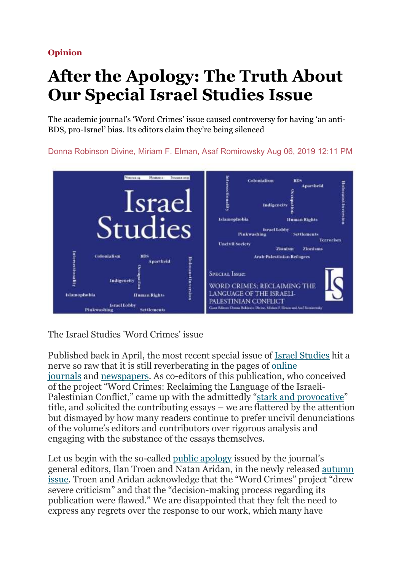Opinion

## After the Apology: The Truth About Our Special Israel Studies Issue

The academic journal's 'Word Crimes' issue caused controversy for having 'an anti-BDS, pro-Israel' bias. Its editors claim they're being silenced

Donna Robinson Divine, Miriam F. Elman, Asaf Romirowsky Aug 06, 2019 12:11 PM



The Israel Studies 'Word Crimes' issue

Published back in April, the most recent special issue of Israel Studies hit a nerve so raw that it is still reverberating in the pages of online journals and newspapers. As co-editors of this publication, who conceived of the project "Word Crimes: Reclaiming the Language of the Israeli-Palestinian Conflict," came up with the admittedly "stark and provocative" title, and solicited the contributing essays – we are flattered by the attention but dismayed by how many readers continue to prefer uncivil denunciations of the volume's editors and contributors over rigorous analysis and engaging with the substance of the essays themselves.

Let us begin with the so-called public apology issued by the journal's general editors, Ilan Troen and Natan Aridan, in the newly released autumn issue. Troen and Aridan acknowledge that the "Word Crimes" project "drew severe criticism" and that the "decision-making process regarding its publication were flawed." We are disappointed that they felt the need to express any regrets over the response to our work, which many have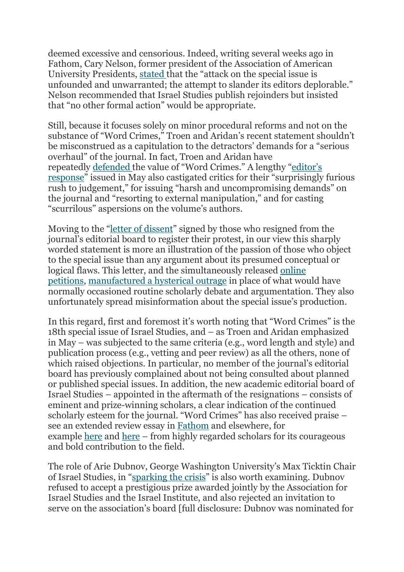deemed excessive and censorious. Indeed, writing several weeks ago in Fathom, Cary Nelson, former president of the Association of American University Presidents, stated that the "attack on the special issue is unfounded and unwarranted; the attempt to slander its editors deplorable." Nelson recommended that Israel Studies publish rejoinders but insisted that "no other formal action" would be appropriate.

Still, because it focuses solely on minor procedural reforms and not on the substance of "Word Crimes," Troen and Aridan's recent statement shouldn't be misconstrued as a capitulation to the detractors' demands for a "serious overhaul" of the journal. In fact, Troen and Aridan have repeatedly defended the value of "Word Crimes." A lengthy "editor's response" issued in May also castigated critics for their "surprisingly furious rush to judgement," for issuing "harsh and uncompromising demands" on the journal and "resorting to external manipulation," and for casting "scurrilous" aspersions on the volume's authors.

Moving to the "letter of dissent" signed by those who resigned from the journal's editorial board to register their protest, in our view this sharply worded statement is more an illustration of the passion of those who object to the special issue than any argument about its presumed conceptual or logical flaws. This letter, and the simultaneously released online petitions, manufactured a hysterical outrage in place of what would have normally occasioned routine scholarly debate and argumentation. They also unfortunately spread misinformation about the special issue's production.

In this regard, first and foremost it's worth noting that "Word Crimes" is the 18th special issue of Israel Studies, and – as Troen and Aridan emphasized in May – was subjected to the same criteria (e.g., word length and style) and publication process (e.g., vetting and peer review) as all the others, none of which raised objections. In particular, no member of the journal's editorial board has previously complained about not being consulted about planned or published special issues. In addition, the new academic editorial board of Israel Studies – appointed in the aftermath of the resignations – consists of eminent and prize-winning scholars, a clear indication of the continued scholarly esteem for the journal. "Word Crimes" has also received praise – see an extended review essay in Fathom and elsewhere, for example here and here – from highly regarded scholars for its courageous and bold contribution to the field.

The role of Arie Dubnov, George Washington University's Max Ticktin Chair of Israel Studies, in "sparking the crisis" is also worth examining. Dubnov refused to accept a prestigious prize awarded jointly by the Association for Israel Studies and the Israel Institute, and also rejected an invitation to serve on the association's board [full disclosure: Dubnov was nominated for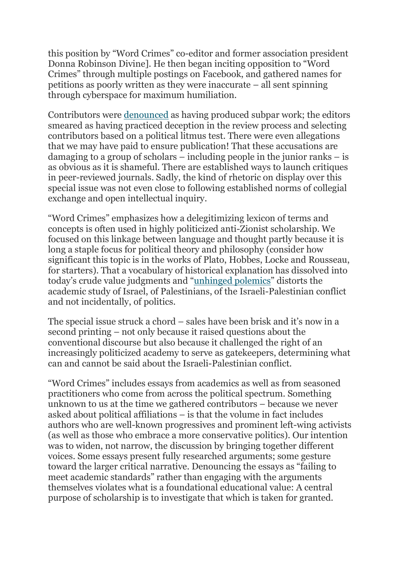this position by "Word Crimes" co-editor and former association president Donna Robinson Divine]. He then began inciting opposition to "Word Crimes" through multiple postings on Facebook, and gathered names for petitions as poorly written as they were inaccurate – all sent spinning through cyberspace for maximum humiliation.

Contributors were denounced as having produced subpar work; the editors smeared as having practiced deception in the review process and selecting contributors based on a political litmus test. There were even allegations that we may have paid to ensure publication! That these accusations are damaging to a group of scholars – including people in the junior ranks – is as obvious as it is shameful. There are established ways to launch critiques in peer-reviewed journals. Sadly, the kind of rhetoric on display over this special issue was not even close to following established norms of collegial exchange and open intellectual inquiry.

"Word Crimes" emphasizes how a delegitimizing lexicon of terms and concepts is often used in highly politicized anti-Zionist scholarship. We focused on this linkage between language and thought partly because it is long a staple focus for political theory and philosophy (consider how significant this topic is in the works of Plato, Hobbes, Locke and Rousseau, for starters). That a vocabulary of historical explanation has dissolved into today's crude value judgments and "unhinged polemics" distorts the academic study of Israel, of Palestinians, of the Israeli-Palestinian conflict and not incidentally, of politics.

The special issue struck a chord – sales have been brisk and it's now in a second printing – not only because it raised questions about the conventional discourse but also because it challenged the right of an increasingly politicized academy to serve as gatekeepers, determining what can and cannot be said about the Israeli-Palestinian conflict.

"Word Crimes" includes essays from academics as well as from seasoned practitioners who come from across the political spectrum. Something unknown to us at the time we gathered contributors – because we never asked about political affiliations – is that the volume in fact includes authors who are well-known progressives and prominent left-wing activists (as well as those who embrace a more conservative politics). Our intention was to widen, not narrow, the discussion by bringing together different voices. Some essays present fully researched arguments; some gesture toward the larger critical narrative. Denouncing the essays as "failing to meet academic standards" rather than engaging with the arguments themselves violates what is a foundational educational value: A central purpose of scholarship is to investigate that which is taken for granted.